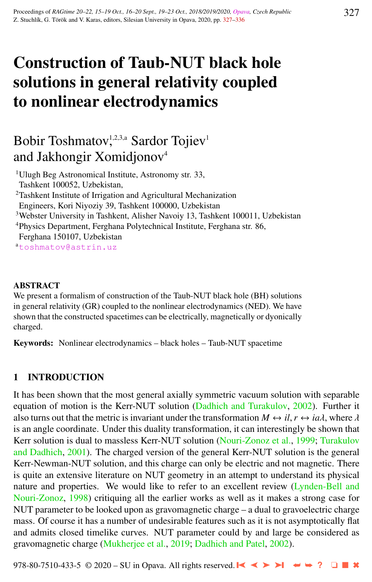# Construction of Taub-NUT black hole solutions in general relativity coupled to nonlinear electrodynamics

# Bobir Toshmatov,<sup>1,2,3,a</sup> Sardor Tojiev<sup>1</sup> and Jakhongir Xomidjonov<sup>4</sup>

<sup>1</sup>Ulugh Beg Astronomical Institute, Astronomy str. 33, Tashkent 100052, Uzbekistan, <sup>2</sup>Tashkent Institute of Irrigation and Agricultural Mechanization Engineers, Kori Niyoziy 39, Tashkent 100000, Uzbekistan <sup>3</sup>Webster University in Tashkent, Alisher Navoiy 13, Tashkent 100011, Uzbekistan <sup>4</sup>Physics Department, Ferghana Polytechnical Institute, Ferghana str. 86, Ferghana 150107, Uzbekistan

<sup>a</sup>[toshmatov@astrin.uz](http://www.physics.cz/ toshmatov@astrin.uz)

### **ABSTRACT**

We present a formalism of construction of the Taub-NUT black hole (BH) solutions in general relativity (GR) coupled to the nonlinear electrodynamics (NED). We have shown that the constructed spacetimes can be electrically, magnetically or dyonically charged.

Keywords: Nonlinear electrodynamics – black holes – Taub-NUT spacetime

# 1 INTRODUCTION

It has been shown that the most general axially symmetric vacuum solution with separable equation of motion is the Kerr-NUT solution [\(Dadhich and Turakulov,](#page-8-0) [2002\)](#page-8-0). Further it also turns out that the metric is invariant under the transformation  $M \leftrightarrow il, r \leftrightarrow ia\lambda$ , where  $\lambda$ is an angle coordinate. Under this duality transformation, it can interestingly be shown that Kerr solution is dual to massless Kerr-NUT solution [\(Nouri-Zonoz et al.,](#page-9-0) [1999;](#page-9-0) [Turakulov](#page-9-0) [and Dadhich,](#page-9-0) [2001\)](#page-9-0). The charged version of the general Kerr-NUT solution is the general Kerr-Newman-NUT solution, and this charge can only be electric and not magnetic. There is quite an extensive literature on NUT geometry in an attempt to understand its physical nature and properties. We would like to refer to an excellent review [\(Lynden-Bell and](#page-9-0) [Nouri-Zonoz,](#page-9-0) [1998\)](#page-9-0) critiquing all the earlier works as well as it makes a strong case for NUT parameter to be looked upon as gravomagnetic charge – a dual to gravoelectric charge mass. Of course it has a number of undesirable features such as it is not asymptotically flat and admits closed timelike curves. NUT parameter could by and large be considered as gravomagnetic charge [\(Mukherjee et al.,](#page-9-0) [2019;](#page-9-0) [Dadhich and Patel,](#page-8-0) [2002\)](#page-8-0).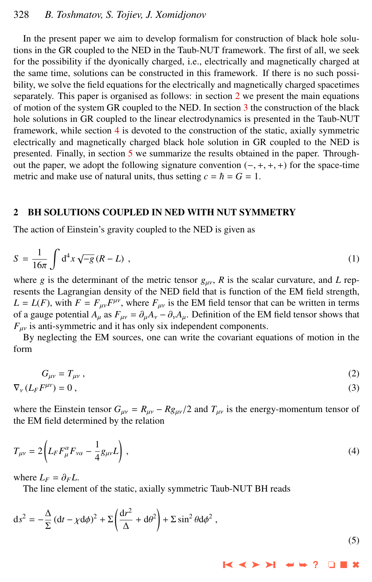# <span id="page-1-0"></span>328 *B. Toshmatov, S. Tojiev, J. Xomidjonov*

In the present paper we aim to develop formalism for construction of black hole solutions in the GR coupled to the NED in the Taub-NUT framework. The first of all, we seek for the possibility if the dyonically charged, i.e., electrically and magnetically charged at the same time, solutions can be constructed in this framework. If there is no such possibility, we solve the field equations for the electrically and magnetically charged spacetimes separately. This paper is organised as follows: in section 2 we present the main equations of motion of the system GR coupled to the NED. In section [3](#page-2-0) the construction of the black hole solutions in GR coupled to the linear electrodynamics is presented in the Taub-NUT framework, while section [4](#page-4-0) is devoted to the construction of the static, axially symmetric electrically and magnetically charged black hole solution in GR coupled to the NED is presented. Finally, in section [5](#page-8-0) we summarize the results obtained in the paper. Throughout the paper, we adopt the following signature convention  $(-, +, +, +)$  for the space-time metric and make use of natural units, thus setting  $c = \hbar = G = 1$ .

#### 2 BH SOLUTIONS COUPLED IN NED WITH NUT SYMMETRY

The action of Einstein's gravity coupled to the NED is given as

$$
S = \frac{1}{16\pi} \int d^4x \sqrt{-g} (R - L) , \qquad (1)
$$

where *g* is the determinant of the metric tensor  $g_{\mu\nu}$ , *R* is the scalar curvature, and *L* rep-<br>recents the Legensoian density of the NED field that is function of the EM field strength resents the Lagrangian density of the NED field that is function of the EM field strength,  $L = L(F)$ , with  $F = F_{\mu\nu}F^{\mu\nu}$ , where  $F_{\mu\nu}$  is the EM field tensor that can be written in terms of a gauge potential  $A_u$  as  $F_{uv} = \partial_u A_v - \partial_v A_u$ . Definition of the EM field tensor shows that  $F_{\mu\nu}$  is anti-symmetric and it has only six independent components.

By neglecting the EM sources, one can write the covariant equations of motion in the form

$$
G_{\mu\nu} = T_{\mu\nu} \,,\tag{2}
$$

$$
\nabla_{\nu} \left( L_F F^{\mu \nu} \right) = 0 \tag{3}
$$

where the Einstein tensor  $G_{\mu\nu} = R_{\mu\nu} - R_{\mu\nu}/2$  and  $T_{\mu\nu}$  is the energy-momentum tensor of the EM field determined by the relation

$$
T_{\mu\nu} = 2 \left( L_F F_{\mu}^{\alpha} F_{\nu\alpha} - \frac{1}{4} g_{\mu\nu} L \right), \tag{4}
$$

where  $L_F = \partial_F L$ .

The line element of the static, axially symmetric Taub-NUT BH reads

$$
ds^{2} = -\frac{\Delta}{\Sigma} (dt - \chi d\phi)^{2} + \Sigma \left(\frac{dr^{2}}{\Delta} + d\theta^{2}\right) + \Sigma \sin^{2} \theta d\phi^{2}, \qquad (5)
$$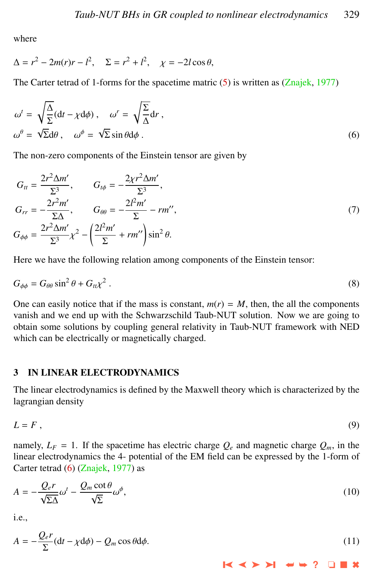<span id="page-2-0"></span>where

$$
\Delta = r^2 - 2m(r)r - l^2, \quad \Sigma = r^2 + l^2, \quad \chi = -2l\cos\theta,
$$

The Carter tetrad of 1-forms for the spacetime matric  $(5)$  is written as  $(Znajek, 1977)$  $(Znajek, 1977)$  $(Znajek, 1977)$ 

$$
\omega^{t} = \sqrt{\frac{\Delta}{\Sigma}}(dt - \chi d\phi), \quad \omega^{r} = \sqrt{\frac{\Sigma}{\Delta}}dr,
$$
  

$$
\omega^{\theta} = \sqrt{\Sigma}d\theta, \quad \omega^{\phi} = \sqrt{\Sigma}\sin\theta d\phi.
$$
 (6)

The non-zero components of the Einstein tensor are given by

$$
G_{tt} = \frac{2r^2 \Delta m'}{\Sigma^3}, \qquad G_{t\phi} = -\frac{2\chi r^2 \Delta m'}{\Sigma^3},
$$
  
\n
$$
G_{rr} = -\frac{2r^2 m'}{\Sigma \Delta}, \qquad G_{\theta\theta} = -\frac{2l^2 m'}{\Sigma} - rm'',
$$
  
\n
$$
G_{\phi\phi} = \frac{2r^2 \Delta m'}{\Sigma^3} \chi^2 - \left(\frac{2l^2 m'}{\Sigma} + rm''\right) \sin^2 \theta.
$$
\n(7)

Here we have the following relation among components of the Einstein tensor:

$$
G_{\phi\phi} = G_{\theta\theta}\sin^2\theta + G_{tt}\chi^2\,. \tag{8}
$$

One can easily notice that if the mass is constant,  $m(r) = M$ , then, the all the components vanish and we end up with the Schwarzschild Taub-NUT solution. Now we are going to obtain some solutions by coupling general relativity in Taub-NUT framework with NED which can be electrically or magnetically charged.

#### 3 IN LINEAR ELECTRODYNAMICS

The linear electrodynamics is defined by the Maxwell theory which is characterized by the lagrangian density

$$
L = F, \tag{9}
$$

namely,  $L_F = 1$ . If the spacetime has electric charge  $Q_e$  and magnetic charge  $Q_m$ , in the linear electrodynamics the 4- potential of the EM field can be expressed by the 1-form of Carter tetrad (6) [\(Znajek,](#page-9-0) [1977\)](#page-9-0) as

$$
A = -\frac{Q_e r}{\sqrt{\Sigma \Delta}} \omega^t - \frac{Q_m \cot \theta}{\sqrt{\Sigma}} \omega^\phi,
$$
\n(10)

i.e.,

*Qer*

$$
A = -\frac{Q_e P}{\Sigma} (dt - \chi d\phi) - Q_m \cos \theta d\phi.
$$
 (11)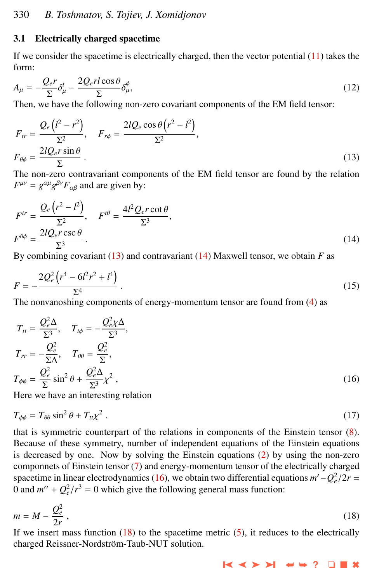## <span id="page-3-0"></span>3.1 Electrically charged spacetime

If we consider the spacetime is electrically charged, then the vector potential  $(11)$  takes the form:

$$
A_{\mu} = -\frac{Q_e r}{\Sigma} \delta^t_{\mu} - \frac{2Q_e r l \cos \theta}{\Sigma} \delta^{\phi}_{\mu},\tag{12}
$$

Then, we have the following non-zero covariant components of the EM field tensor:

$$
F_{tr} = \frac{Q_e \left(l^2 - r^2\right)}{\Sigma^2}, \quad F_{r\phi} = \frac{2lQ_e \cos\theta \left(r^2 - l^2\right)}{\Sigma^2},
$$

$$
F_{\theta\phi} = \frac{2lQ_e r \sin\theta}{\Sigma}.
$$
(13)

The non-zero contravariant components of the EM field tensor are found by the relation  $F^{\mu\nu} = g^{\alpha\mu}g^{\beta\nu}F_{\alpha\beta}$  and are given by:

$$
F^{tr} = \frac{Q_e (r^2 - l^2)}{\Sigma^2}, \quad F^{t\theta} = \frac{4l^2 Q_e r \cot \theta}{\Sigma^3},
$$
  

$$
F^{\theta\phi} = \frac{2lQ_e r \csc \theta}{\Sigma^3}.
$$
 (14)

By combining covariant  $(13)$  and contravariant  $(14)$  Maxwell tensor, we obtain *F* as

$$
F = -\frac{2Q_e^2\left(r^4 - 6l^2r^2 + l^4\right)}{\Sigma^4} \,. \tag{15}
$$

The nonvanoshing components of energy-momentum tensor are found from [\(4\)](#page-1-0) as

$$
T_{tt} = \frac{Q_e^2 \Delta}{\Sigma^3}, \quad T_{t\phi} = -\frac{Q_e^2 \chi \Delta}{\Sigma^3},
$$
  
\n
$$
T_{rr} = -\frac{Q_e^2}{\Sigma \Delta}, \quad T_{\theta\theta} = \frac{Q_e^2}{\Sigma},
$$
  
\n
$$
T_{\phi\phi} = \frac{Q_e^2}{\Sigma} \sin^2 \theta + \frac{Q_e^2 \Delta}{\Sigma^3} \chi^2,
$$
\n(16)

Here we have an interesting relation

$$
T_{\phi\phi} = T_{\theta\theta}\sin^2\theta + T_{tt}\chi^2\,. \tag{17}
$$

that is symmetric counterpart of the relations in components of the Einstein tensor [\(8\)](#page-2-0). Because of these symmetry, number of independent equations of the Einstein equations is decreased by one. Now by solving the Einstein equations [\(2\)](#page-1-0) by using the non-zero componnets of Einstein tensor [\(7\)](#page-2-0) and energy-momentum tensor of the electrically charged spacetime in linear electrodynamics (16), we obtain two differential equations  $m' - Q_e^2/2r = 0$  and  $m'' + Q_e^2/r^3 = 0$  which give the following general mass function: 0 and  $m'' + Q_e^2/r^3 = 0$  which give the following general mass function:

$$
m = M - \frac{Q_e^2}{2r},\tag{18}
$$

If we insert mass function  $(18)$  to the spacetime metric  $(5)$ , it reduces to the electrically charged Reissner-Nordström-Taub-NUT solution.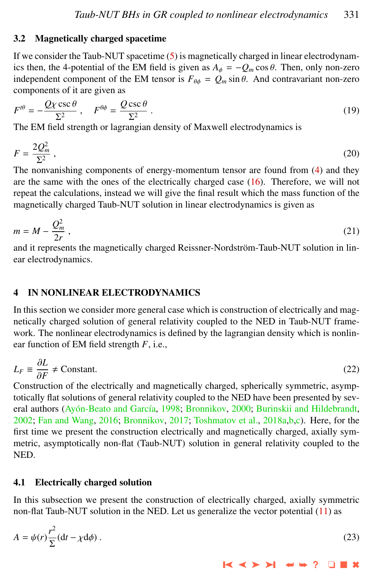# <span id="page-4-0"></span>3.2 Magnetically charged spacetime

If we consider the Taub-NUT spacetime [\(5\)](#page-1-0) is magnetically charged in linear electrodynamics then, the 4-potential of the EM field is given as  $A_{\phi} = -Q_m \cos \theta$ . Then, only non-zero independent component of the EM tensor is  $F_{\theta\phi} = Q_m \sin \theta$ . And contravariant non-zero components of it are given as

$$
F^{t\theta} = -\frac{Q\chi\csc\theta}{\Sigma^2} \,, \quad F^{\theta\phi} = \frac{Q\csc\theta}{\Sigma^2} \,. \tag{19}
$$

The EM field strength or lagrangian density of Maxwell electrodynamics is

$$
F = \frac{2Q_m^2}{\Sigma^2} \,,\tag{20}
$$

The nonvanishing components of energy-momentum tensor are found from [\(4\)](#page-1-0) and they are the same with the ones of the electrically charged case [\(16\)](#page-3-0). Therefore, we will not repeat the calculations, instead we will give the final result which the mass function of the magnetically charged Taub-NUT solution in linear electrodynamics is given as

$$
m = M - \frac{Q_m^2}{2r},\tag{21}
$$

and it represents the magnetically charged Reissner-Nordström-Taub-NUT solution in linear electrodynamics.

# 4 IN NONLINEAR ELECTRODYNAMICS

In this section we consider more general case which is construction of electrically and magnetically charged solution of general relativity coupled to the NED in Taub-NUT framework. The nonlinear electrodynamics is defined by the lagrangian density which is nonlinear function of EM field strength *F*, i.e.,

$$
L_F \equiv \frac{\partial L}{\partial F} \neq \text{Constant.} \tag{22}
$$

 $\frac{\partial F}{\partial F}$   $\rightarrow$  Constant.<br>Construction of the electrically and magnetically charged, spherically symmetric, asymptotically flat solutions of general relativity coupled to the NED have been presented by sev-eral authors (Ayón-Beato and García, [1998;](#page-8-0) [Bronnikov,](#page-8-0) [2000;](#page-8-0) [Burinskii and Hildebrandt,](#page-8-0) [2002;](#page-8-0) [Fan and Wang,](#page-9-0) [2016;](#page-9-0) [Bronnikov,](#page-8-0) [2017;](#page-8-0) [Toshmatov et al.,](#page-9-0) [2018a,b,c\)](#page-9-0). Here, for the first time we present the construction electrically and magnetically charged, axially symmetric, asymptotically non-flat (Taub-NUT) solution in general relativity coupled to the NED.

### 4.1 Electrically charged solution

In this subsection we present the construction of electrically charged, axially symmetric non-flat Taub-NUT solution in the NED. Let us generalize the vector potential [\(11\)](#page-2-0) as

$$
A = \psi(r)\frac{r^2}{\Sigma}(\mathrm{d}t - \chi \mathrm{d}\phi) \tag{23}
$$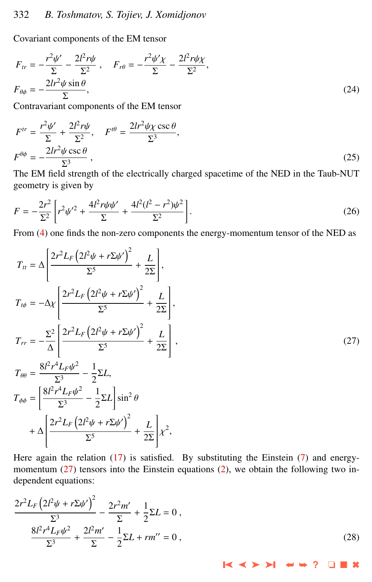# <span id="page-5-0"></span>332 *B. Toshmatov, S. Tojiev, J. Xomidjonov*

Covariant components of the EM tensor

$$
F_{tr} = -\frac{r^2 \psi'}{\Sigma} - \frac{2l^2 r \psi}{\Sigma^2} , \quad F_{r\theta} = -\frac{r^2 \psi' \chi}{\Sigma} - \frac{2l^2 r \psi \chi}{\Sigma^2} ,
$$
  

$$
F_{\theta\phi} = -\frac{2lr^2 \psi \sin \theta}{\Sigma} ,
$$
 (24)

Contravariant components of the EM tensor

$$
F^{tr} = \frac{r^2 \psi'}{\Sigma} + \frac{2l^2 r \psi}{\Sigma^2}, \quad F^{t\theta} = \frac{2lr^2 \psi \chi \csc \theta}{\Sigma^3},
$$
  

$$
F^{\theta \phi} = -\frac{2lr^2 \psi \csc \theta}{\Sigma^3},
$$
 (25)

The EM field strength of the electrically charged spacetime of the NED in the Taub-NUT geometry is given by

$$
F = -\frac{2r^2}{\Sigma^2} \left[ r^2 \psi'^2 + \frac{4l^2 r \psi \psi'}{\Sigma} + \frac{4l^2 (l^2 - r^2) \psi^2}{\Sigma^2} \right].
$$
 (26)

From [\(4\)](#page-1-0) one finds the non-zero components the energy-momentum tensor of the NED as

$$
T_{tt} = \Delta \left[ \frac{2r^2 L_F (2l^2 \psi + r \Sigma \psi')^2}{\Sigma^5} + \frac{L}{2\Sigma} \right],
$$
  
\n
$$
T_{t\phi} = -\Delta \chi \left[ \frac{2r^2 L_F (2l^2 \psi + r \Sigma \psi')^2}{\Sigma^5} + \frac{L}{2\Sigma} \right],
$$
  
\n
$$
T_{rr} = -\frac{\Sigma^2}{\Delta} \left[ \frac{2r^2 L_F (2l^2 \psi + r \Sigma \psi')^2}{\Sigma^5} + \frac{L}{2\Sigma} \right],
$$
  
\n
$$
T_{\theta\theta} = \frac{8l^2 r^4 L_F \psi^2}{\Sigma^3} - \frac{1}{2} \Sigma L,
$$
  
\n
$$
T_{\phi\phi} = \left[ \frac{8l^2 r^4 L_F \psi^2}{\Sigma^3} - \frac{1}{2} \Sigma L \right] \sin^2 \theta
$$
  
\n
$$
+ \Delta \left[ \frac{2r^2 L_F (2l^2 \psi + r \Sigma \psi')^2}{\Sigma^5} + \frac{L}{2\Sigma} \right] \chi^2,
$$
  
\n(27)

Here again the relation [\(17\)](#page-3-0) is satisfied. By substituting the Einstein [\(7\)](#page-2-0) and energymomentum  $(27)$  tensors into the Einstein equations  $(2)$ , we obtain the following two independent equations:

$$
\frac{2r^2L_F\left(2l^2\psi + r\Sigma\psi'\right)^2}{\Sigma^3} - \frac{2r^2m'}{\Sigma} + \frac{1}{2}\Sigma L = 0,
$$
\n
$$
\frac{8l^2r^4L_F\psi^2}{\Sigma^3} + \frac{2l^2m'}{\Sigma} - \frac{1}{2}\Sigma L + rm'' = 0,
$$
\n(28)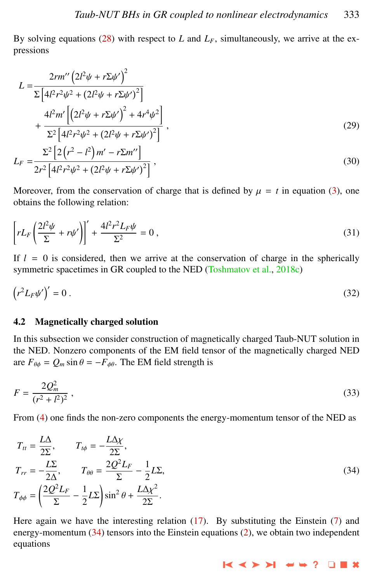<span id="page-6-0"></span>By solving equations  $(28)$  with respect to *L* and  $L_F$ , simultaneously, we arrive at the expressions

$$
L = \frac{2rm'\left(2l^{2}\psi + r\Sigma\psi'\right)^{2}}{\Sigma\left[4l^{2}r^{2}\psi^{2} + (2l^{2}\psi + r\Sigma\psi')^{2}\right]}
$$
  
+ 
$$
\frac{4l^{2}m'\left[\left(2l^{2}\psi + r\Sigma\psi'\right)^{2} + 4r^{4}\psi^{2}\right]}{\Sigma^{2}\left[4l^{2}r^{2}\psi^{2} + (2l^{2}\psi + r\Sigma\psi')^{2}\right]},
$$
  

$$
L_{F} = \frac{\Sigma^{2}\left[2\left(r^{2} - l^{2}\right)m' - r\Sigma m''\right]}{(30)}
$$

$$
L_F = \frac{1}{2r^2 \left[4l^2r^2\psi^2 + \left(2l^2\psi + r\Sigma\psi'\right)^2\right]},
$$
\n(30)

Moreover, from the conservation of charge that is defined by  $\mu = t$  in equation [\(3\)](#page-1-0), one obtains the following relation:

$$
\left[rL_F\left(\frac{2l^2\psi}{\Sigma}+r\psi'\right)\right]'+\frac{4l^2r^2L_F\psi}{\Sigma^2}=0\,,\tag{31}
$$

If  $l = 0$  is considered, then we arrive at the conservation of charge in the spherically symmetric spacetimes in GR coupled to the NED [\(Toshmatov et al.,](#page-9-0) [2018c\)](#page-9-0)

$$
\left(r^2 L_F \psi'\right)' = 0\,. \tag{32}
$$

#### 4.2 Magnetically charged solution

In this subsection we consider construction of magnetically charged Taub-NUT solution in the NED. Nonzero components of the EM field tensor of the magnetically charged NED are  $F_{\theta\phi} = Q_m \sin \theta = -F_{\phi\theta}$ . The EM field strength is

$$
F = \frac{2Q_m^2}{(r^2 + l^2)^2},\tag{33}
$$

From [\(4\)](#page-1-0) one finds the non-zero components the energy-momentum tensor of the NED as

$$
T_{tt} = \frac{L\Delta}{2\Sigma}, \qquad T_{t\phi} = -\frac{L\Delta\chi}{2\Sigma},
$$
  
\n
$$
T_{rr} = -\frac{L\Sigma}{2\Delta}, \qquad T_{\theta\theta} = \frac{2Q^2L_F}{\Sigma} - \frac{1}{2}L\Sigma,
$$
  
\n
$$
T_{\phi\phi} = \left(\frac{2Q^2L_F}{\Sigma} - \frac{1}{2}L\Sigma\right)\sin^2\theta + \frac{L\Delta\chi^2}{2\Sigma}.
$$
\n(34)

Here again we have the interesting relation  $(17)$ . By substituting the Einstein  $(7)$  and energy-momentum (34) tensors into the Einstein equations [\(2\)](#page-1-0), we obtain two independent equations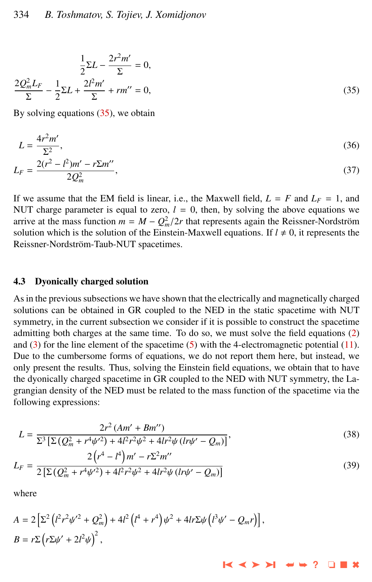$$
\frac{1}{2}\Sigma L - \frac{2r^2m'}{\Sigma} = 0,
$$
  

$$
\frac{2Q_m^2L_F}{\Sigma} - \frac{1}{2}\Sigma L + \frac{2l^2m'}{\Sigma} + rm'' = 0,
$$
 (35)

By solving equations (35), we obtain

$$
L = \frac{4r^2m'}{\Sigma^2},\tag{36}
$$

$$
L_F = \frac{2(r^2 - l^2)m' - r\Sigma m''}{2Q_m^2},\tag{37}
$$

If we assume that the EM field is linear, i.e., the Maxwell field,  $L = F$  and  $L_F = 1$ , and NUT charge parameter is equal to zero,  $l = 0$ , then, by solving the above equations we arrive at the mass function  $m = M - Q_m^2/2r$  that represents again the Reissner-Nordström solution which is the solution of the Einstein-Maxwell equations If  $l \neq 0$  it represents the solution which is the solution of the Einstein-Maxwell equations. If  $l \neq 0$ , it represents the Reissner-Nordström-Taub-NUT spacetimes.

#### 4.3 Dyonically charged solution

As in the previous subsections we have shown that the electrically and magnetically charged solutions can be obtained in GR coupled to the NED in the static spacetime with NUT symmetry, in the current subsection we consider if it is possible to construct the spacetime admitting both charges at the same time. To do so, we must solve the field equations [\(2\)](#page-1-0) and  $(3)$  for the line element of the spacetime  $(5)$  with the 4-electromagnetic potential  $(11)$ . Due to the cumbersome forms of equations, we do not report them here, but instead, we only present the results. Thus, solving the Einstein field equations, we obtain that to have the dyonically charged spacetime in GR coupled to the NED with NUT symmetry, the Lagrangian density of the NED must be related to the mass function of the spacetime via the following expressions:

$$
L = \frac{2r^2 (Am' + Bm'')}{\Sigma^3 \left[\Sigma \left(Q_m^2 + r^4 \psi'^2\right) + 4l^2 r^2 \psi^2 + 4lr^2 \psi \left(lr\psi' - Q_m\right)\right]},\tag{38}
$$

$$
2\left(r^4 - l^4\right)m' - r\Sigma^2 m''
$$

$$
L_F = \frac{2\left(\frac{V}{m} + \frac{V}{m}\right)^{m}}{2\left[\sum\left(Q_m^2 + r^4\psi'^2\right) + 4l^2r^2\psi^2 + 4lr^2\psi\left(lr\psi' - Q_m\right)\right]}
$$
(39)

➤❙ ➤➤ ➤❙ ➥➥ **?** ❏ ■ ✖

where

$$
A = 2\left[\Sigma^2 \left(l^2 r^2 \psi'^2 + Q_m^2\right) + 4l^2 \left(l^4 + r^4\right) \psi^2 + 4lr \Sigma \psi \left(l^3 \psi' - Q_m r\right)\right],
$$
  
\n
$$
B = r \Sigma \left(r \Sigma \psi' + 2l^2 \psi\right)^2,
$$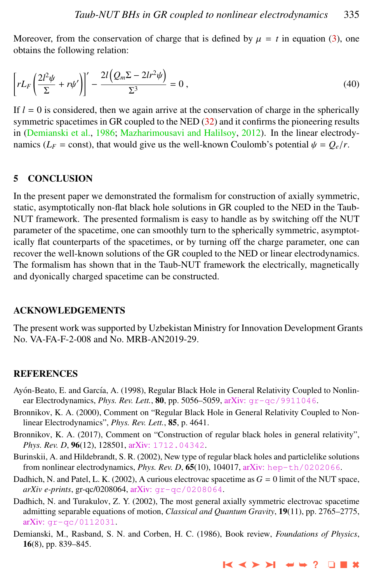<span id="page-8-0"></span>Moreover, from the conservation of charge that is defined by  $\mu = t$  in equation [\(3\)](#page-1-0), one obtains the following relation:

$$
\left[rL_F\left(\frac{2l^2\psi}{\Sigma}+r\psi'\right)\right]'-\frac{2l\left(Q_m\Sigma-2lr^2\psi\right)}{\Sigma^3}=0\,,\tag{40}
$$

If  $l = 0$  is considered, then we again arrive at the conservation of charge in the spherically symmetric spacetimes in GR coupled to the NED  $(32)$  and it confirms the pioneering results in (Demianski et al., 1986; [Mazharimousavi and Halilsoy,](#page-9-0) [2012\)](#page-9-0). In the linear electrodynamics ( $L_F$  = const), that would give us the well-known Coulomb's potential  $\psi = Q_e/r$ .

# 5 CONCLUSION

In the present paper we demonstrated the formalism for construction of axially symmetric, static, asymptotically non-flat black hole solutions in GR coupled to the NED in the Taub-NUT framework. The presented formalism is easy to handle as by switching off the NUT parameter of the spacetime, one can smoothly turn to the spherically symmetric, asymptotically flat counterparts of the spacetimes, or by turning off the charge parameter, one can recover the well-known solutions of the GR coupled to the NED or linear electrodynamics. The formalism has shown that in the Taub-NUT framework the electrically, magnetically and dyonically charged spacetime can be constructed.

### ACKNOWLEDGEMENTS

The present work was supported by Uzbekistan Ministry for Innovation Development Grants No. VA-FA-F-2-008 and No. MRB-AN2019-29.

#### **REFERENCES**

- Ayón-Beato, E. and García, A. (1998), Regular Black Hole in General Relativity Coupled to Nonlinear Electrodynamics, *Phys. Rev. Lett.*, 80, pp. 5056–5059, arXiv: [gr-qc/9911046](http://www.arxiv.org/abs/gr-qc/9911046).
- Bronnikov, K. A. (2000), Comment on "Regular Black Hole in General Relativity Coupled to Nonlinear Electrodynamics", *Phys. Rev. Lett.*, 85, p. 4641.
- Bronnikov, K. A. (2017), Comment on "Construction of regular black holes in general relativity", *Phys. Rev. D,* 96(12), 128501, arXiv: [1712.04342](http://www.arxiv.org/abs/1712.04342).
- Burinskii, A. and Hildebrandt, S. R. (2002), New type of regular black holes and particlelike solutions from nonlinear electrodynamics, *Phys. Rev. D*, 65(10), 104017, arXiv: [hep-th/0202066](http://www.arxiv.org/abs/hep-th/0202066).
- Dadhich, N. and Patel, L. K. (2002), A curious electrovac spacetime as  $G = 0$  limit of the NUT space, *arXiv e-prints*, gr-qc/0208064, arXiv: [gr-qc/0208064](http://www.arxiv.org/abs/gr-qc/0208064).
- Dadhich, N. and Turakulov, Z. Y. (2002), The most general axially symmetric electrovac spacetime admitting separable equations of motion, *Classical and Quantum Gravity*, 19(11), pp. 2765–2775, arXiv: [gr-qc/0112031](http://www.arxiv.org/abs/gr-qc/0112031).
- Demianski, M., Rasband, S. N. and Corben, H. C. (1986), Book review, *Foundations of Physics*, 16(8), pp. 839–845.